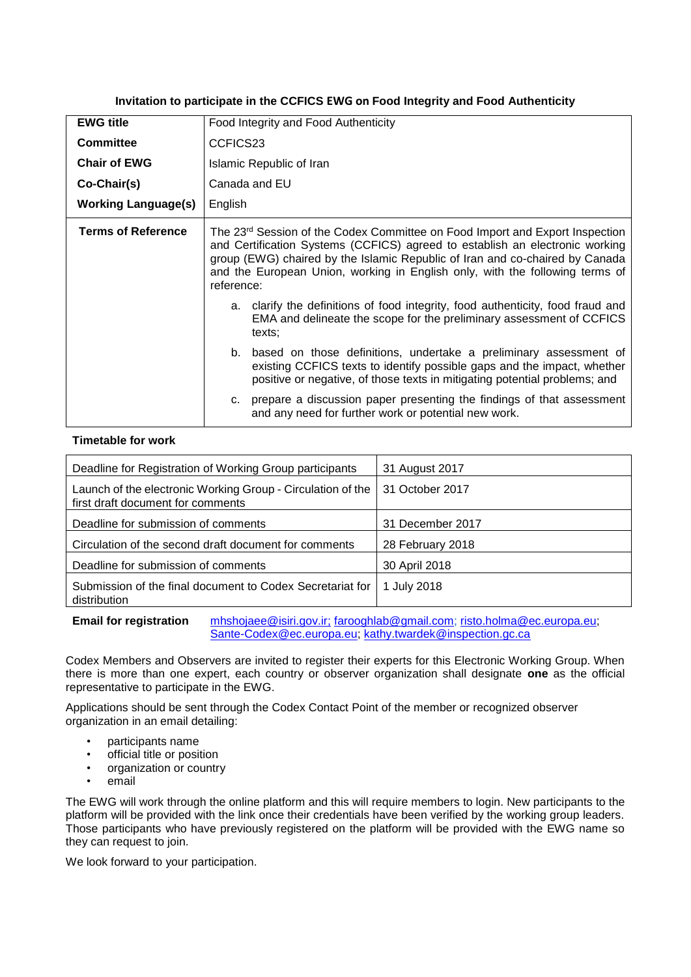**Invitation to participate in the CCFICS EWG on Food Integrity and Food Authenticity** 

| <b>EWG title</b>           | Food Integrity and Food Authenticity                                                                                                                                                                                                                                                                                                                   |  |
|----------------------------|--------------------------------------------------------------------------------------------------------------------------------------------------------------------------------------------------------------------------------------------------------------------------------------------------------------------------------------------------------|--|
| <b>Committee</b>           | CCFICS23                                                                                                                                                                                                                                                                                                                                               |  |
| <b>Chair of EWG</b>        | Islamic Republic of Iran                                                                                                                                                                                                                                                                                                                               |  |
| Co-Chair(s)                | Canada and EU                                                                                                                                                                                                                                                                                                                                          |  |
| <b>Working Language(s)</b> | English                                                                                                                                                                                                                                                                                                                                                |  |
| <b>Terms of Reference</b>  | The 23 <sup>rd</sup> Session of the Codex Committee on Food Import and Export Inspection<br>and Certification Systems (CCFICS) agreed to establish an electronic working<br>group (EWG) chaired by the Islamic Republic of Iran and co-chaired by Canada<br>and the European Union, working in English only, with the following terms of<br>reference: |  |
|                            | a. clarify the definitions of food integrity, food authenticity, food fraud and<br>EMA and delineate the scope for the preliminary assessment of CCFICS<br>texts:                                                                                                                                                                                      |  |
|                            | b. based on those definitions, undertake a preliminary assessment of<br>existing CCFICS texts to identify possible gaps and the impact, whether<br>positive or negative, of those texts in mitigating potential problems; and                                                                                                                          |  |
|                            | prepare a discussion paper presenting the findings of that assessment<br>C.<br>and any need for further work or potential new work.                                                                                                                                                                                                                    |  |

## **Timetable for work**

| Deadline for Registration of Working Group participants                                          | 31 August 2017   |
|--------------------------------------------------------------------------------------------------|------------------|
| Launch of the electronic Working Group - Circulation of the<br>first draft document for comments | 31 October 2017  |
| Deadline for submission of comments                                                              | 31 December 2017 |
| Circulation of the second draft document for comments                                            | 28 February 2018 |
| Deadline for submission of comments                                                              | 30 April 2018    |
| Submission of the final document to Codex Secretariat for<br>distribution                        | 1 July 2018      |

**Email for registration** [mhshojaee@isiri.gov.ir;](mailto:mhshojaee@isiri.giv.ir) [farooghlab@gmail.com;](mailto:farooghlab@gmail.com) [risto.holma@ec.europa.eu;](mailto:risto.holma@ec.europa.eu) [Sante-Codex@ec.europa.eu;](mailto:Sante-Codex@ec.europa.eu) [kathy.twardek@inspection.gc.ca](mailto:kathy.twardek@inspection.gc.ca)

Codex Members and Observers are invited to register their experts for this Electronic Working Group. When there is more than one expert, each country or observer organization shall designate **one** as the official representative to participate in the EWG.

Applications should be sent through the Codex Contact Point of the member or recognized observer organization in an email detailing:

- participants name
- official title or position
- organization or country
- email

The EWG will work through the online platform and this will require members to login. New participants to the platform will be provided with the link once their credentials have been verified by the working group leaders. Those participants who have previously registered on the platform will be provided with the EWG name so they can request to join.

We look forward to your participation.